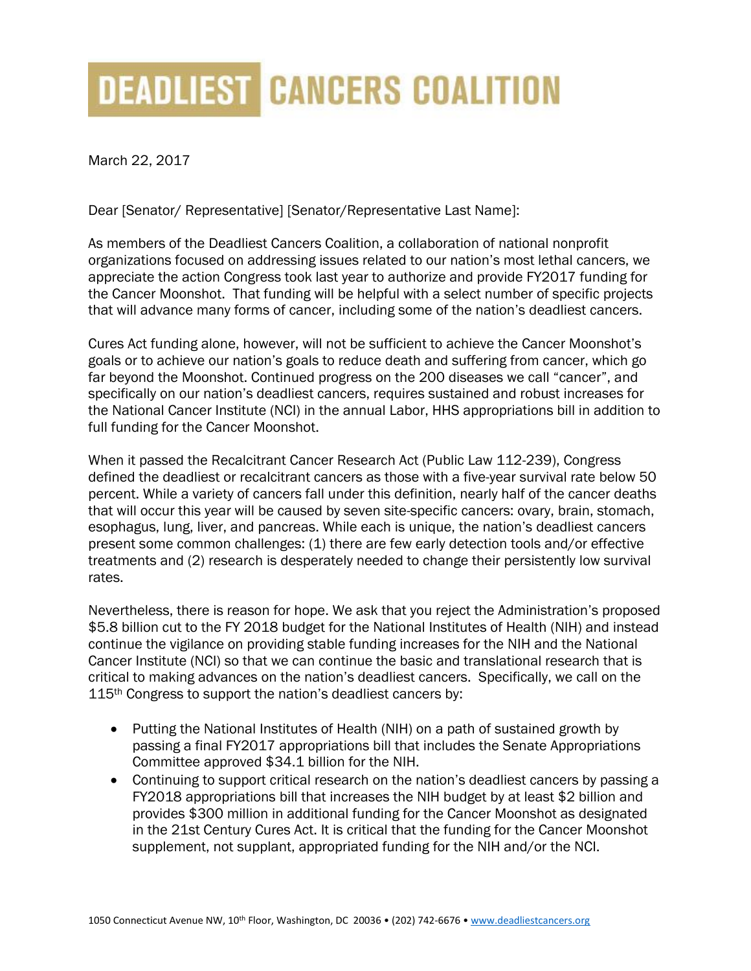## **DEADLIEST CANCERS COALITION**

March 22, 2017

Dear [Senator/ Representative] [Senator/Representative Last Name]:

As members of the Deadliest Cancers Coalition, a collaboration of national nonprofit organizations focused on addressing issues related to our nation's most lethal cancers, we appreciate the action Congress took last year to authorize and provide FY2017 funding for the Cancer Moonshot. That funding will be helpful with a select number of specific projects that will advance many forms of cancer, including some of the nation's deadliest cancers.

Cures Act funding alone, however, will not be sufficient to achieve the Cancer Moonshot's goals or to achieve our nation's goals to reduce death and suffering from cancer, which go far beyond the Moonshot. Continued progress on the 200 diseases we call "cancer", and specifically on our nation's deadliest cancers, requires sustained and robust increases for the National Cancer Institute (NCI) in the annual Labor, HHS appropriations bill in addition to full funding for the Cancer Moonshot.

When it passed the Recalcitrant Cancer Research Act (Public Law 112-239), Congress defined the deadliest or recalcitrant cancers as those with a five-year survival rate below 50 percent. While a variety of cancers fall under this definition, nearly half of the cancer deaths that will occur this year will be caused by seven site-specific cancers: ovary, brain, stomach, esophagus, lung, liver, and pancreas. While each is unique, the nation's deadliest cancers present some common challenges: (1) there are few early detection tools and/or effective treatments and (2) research is desperately needed to change their persistently low survival rates.

Nevertheless, there is reason for hope. We ask that you reject the Administration's proposed \$5.8 billion cut to the FY 2018 budget for the National Institutes of Health (NIH) and instead continue the vigilance on providing stable funding increases for the NIH and the National Cancer Institute (NCI) so that we can continue the basic and translational research that is critical to making advances on the nation's deadliest cancers. Specifically, we call on the 115<sup>th</sup> Congress to support the nation's deadliest cancers by:

- Putting the National Institutes of Health (NIH) on a path of sustained growth by passing a final FY2017 appropriations bill that includes the Senate Appropriations Committee approved \$34.1 billion for the NIH.
- Continuing to support critical research on the nation's deadliest cancers by passing a FY2018 appropriations bill that increases the NIH budget by at least \$2 billion and provides \$300 million in additional funding for the Cancer Moonshot as designated in the 21st Century Cures Act. It is critical that the funding for the Cancer Moonshot supplement, not supplant, appropriated funding for the NIH and/or the NCI.